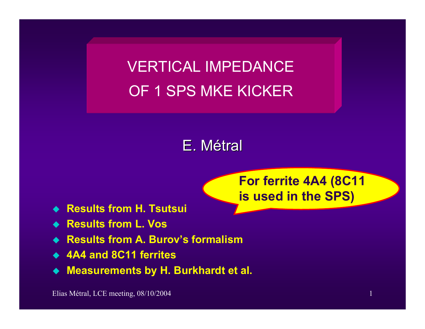VERTICAL IMPEDANCE OF 1 SPS MKE KICKER

# E. Métral

**For ferrite 4A4 (8C11 is used in the SPS)**

- **Results from H. Tsutsui**
- **Results from L. Vos**
- ◆ Results from A. Burov's formalism
- **4A4 and 8C11 ferrites**
- **Measurements by H. Burkhardt et al.**

Elias Métral, LCE meeting, 08/10/2004 1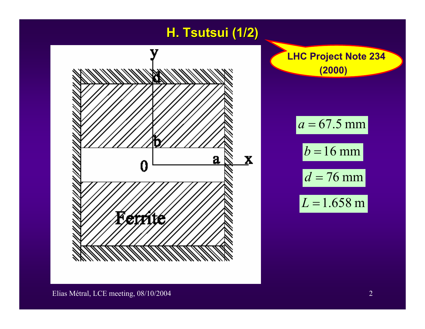### **H. Tsutsui Tsutsui (1/2)**

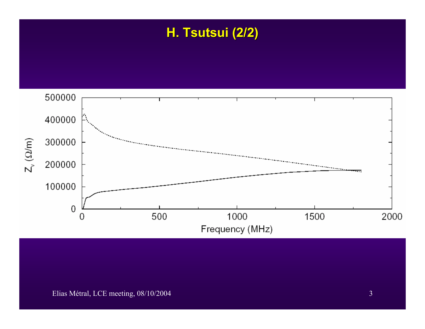## **H. Tsutsui Tsutsui (2/2)**



#### Elias Métral, LCE meeting, 08/10/2004 3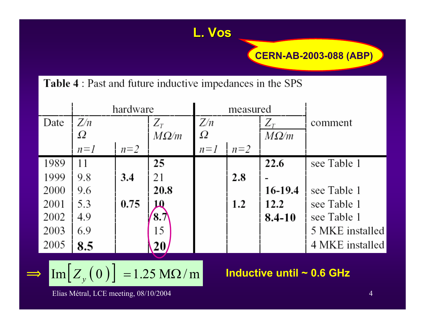#### **CERN-AB-2003-088 (ABP)**

#### Table 4 : Past and future inductive impedances in the SPS

|      | hardware |       |                | measured |       |             |                 |
|------|----------|-------|----------------|----------|-------|-------------|-----------------|
| Date | Z/n      |       | $Z_T$          | Z/n      |       | $Z_T$       | comment         |
|      | Ω        |       | $M\Omega/m$    | Ω        |       | $M\Omega/m$ |                 |
|      | $n=1$    | $n=2$ |                | $n=1$    | $n=2$ |             |                 |
| 1989 | 11       |       | 25             |          |       | 22.6        | see Table 1     |
| 1999 | 9.8      | 3.4   | 21             |          | 2.8   |             |                 |
| 2000 | 9.6      |       | 20.8           |          |       | 16-19.4     | see Table 1     |
| 2001 | 5.3      | 0.75  | Ω              |          | 1.2   | 12.2        | see Table 1     |
| 2002 | 4.9      |       | $\mathbf{8.7}$ |          |       | $8.4 - 10$  | see Table 1     |
| 2003 | 6.9      |       | 15             |          |       |             | 5 MKE installed |
| 2005 | 8.5      |       | 20             |          |       |             | 4 MKE installed |

L. Vos

$$
\mathrm{Im}\big[Z_{y}(0)\big] = 1.25 \mathrm{M}\Omega/\mathrm{m}
$$

Inductive until  $\sim$  0.6 GHz

Elias Métral, LCE meeting, 08/10/2004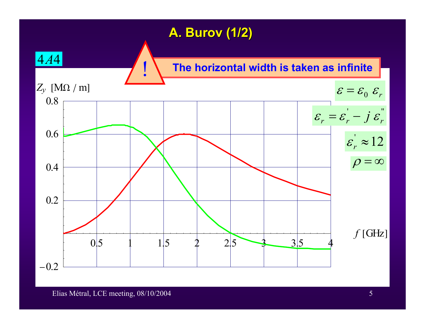#### **A. Burov (1/2)**

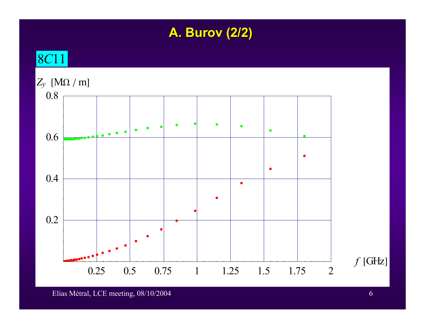### **A. Burov (2/2)**

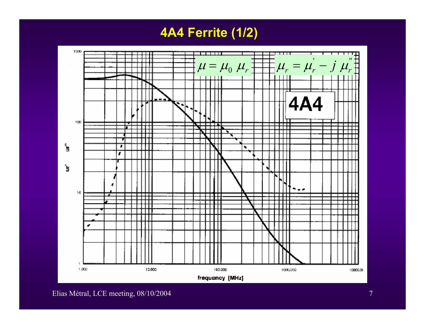**4A4 Ferrite (1/2) 4A4 Ferrite (1/2)**



Elias Métral, LCE meeting, 08/10/2004 7 and 2008 7 and 2008 7 and 2008 7 and 2008 7 and 2008 7 and 2008 7 and 2008 7 and 2008 7 and 2008 7 and 2008 7 and 2008 7 and 2008 7 and 2008 7 and 2008 7 and 2008 7 and 2008 7 and 20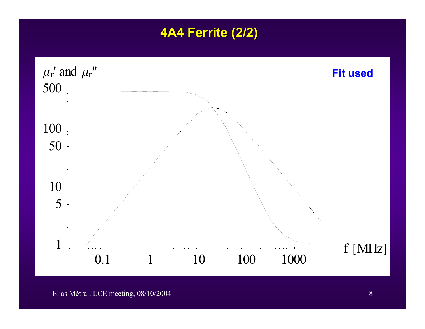#### **4A4 Ferrite (2/2)**



Elias Métral, LCE meeting, 08/10/2004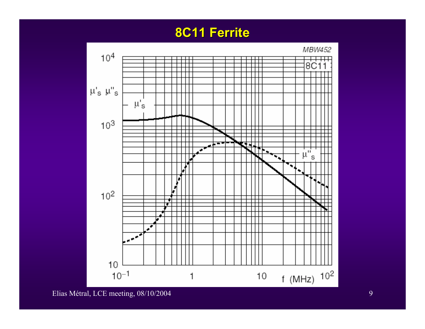#### **8C11 Ferrite 8C11 Ferrite**